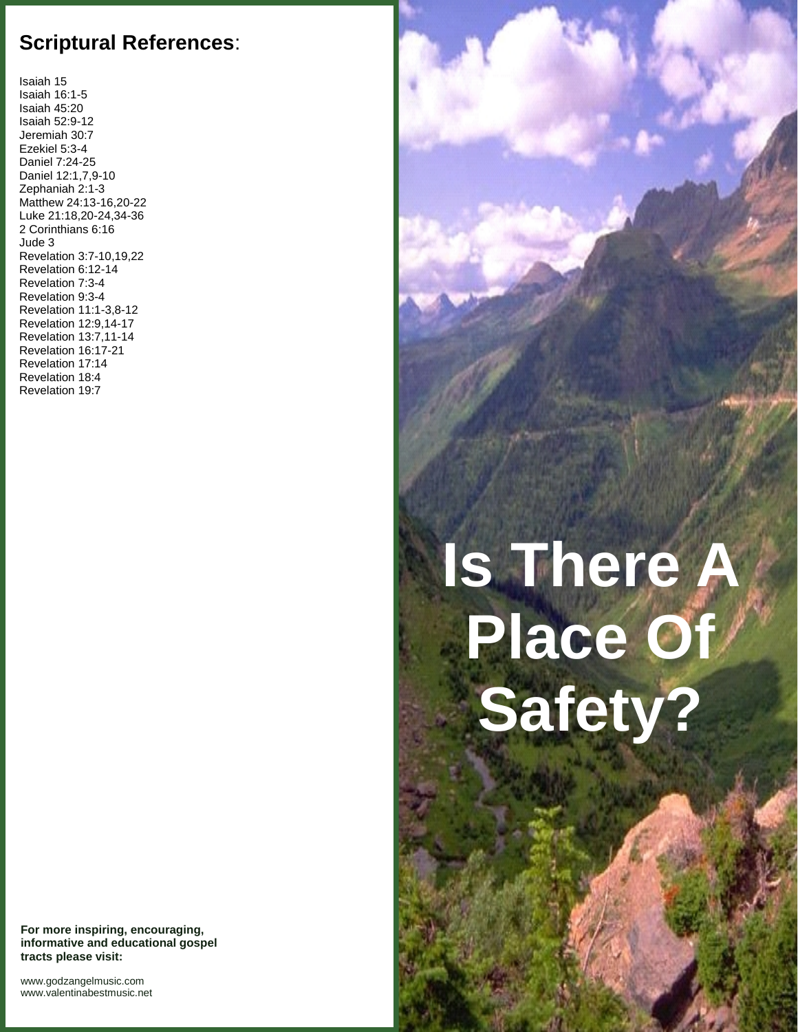## **Scriptural References**:

Isaiah 15 Isaiah 16:1-5 Isaiah 45:20 Isaiah 52:9-12 Jeremiah 30:7 Ezekiel 5:3-4 Daniel 7:24-25 Daniel 12:1,7,9-10 Zephaniah 2:1-3 Matthew 24:13-16,20-22 Luke 21:18,20-24,34-36 2 Corinthians 6:16 Jude 3 Revelation 3:7-10,19,22 Revelation 6:12-14 Revelation 7:3-4 Revelation 9:3-4 Revelation 11:1-3,8-12 Revelation 12:9,14-17 Revelation 13:7,11-14 Revelation 16:17-21 Revelation 17:14 Revelation 18:4 Revelation 19:7

## **Is There A Place Of Safety?**

**For more inspiring, encouraging, informative and educational gospel tracts please visit:**

<www.godzangelmusic.com> <www.valentinabestmusic.net>